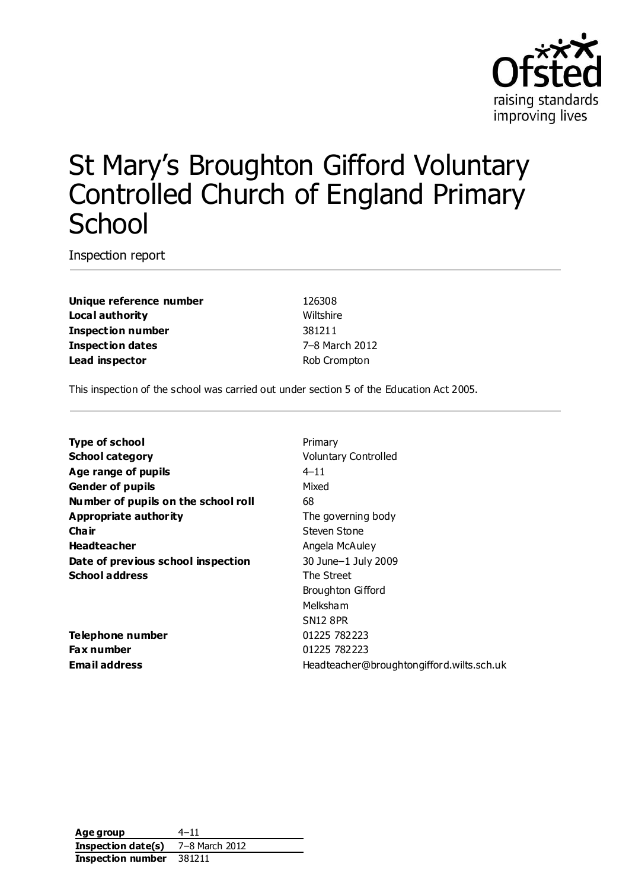

# St Mary's Broughton Gifford Voluntary Controlled Church of England Primary **School**

Inspection report

**Unique reference number** 126308 **Local authority** Wiltshire **Inspection number** 381211 **Inspection dates** 7–8 March 2012 **Lead inspector** Rob Crompton

This inspection of the school was carried out under section 5 of the Education Act 2005.

| <b>Type of school</b>               | Primary                                   |
|-------------------------------------|-------------------------------------------|
| <b>School category</b>              | <b>Voluntary Controlled</b>               |
| Age range of pupils                 | $4 - 11$                                  |
| <b>Gender of pupils</b>             | Mixed                                     |
| Number of pupils on the school roll | 68                                        |
| Appropriate authority               | The governing body                        |
| Cha ir                              | Steven Stone                              |
| <b>Headteacher</b>                  | Angela McAuley                            |
| Date of previous school inspection  | 30 June-1 July 2009                       |
| <b>School address</b>               | The Street                                |
|                                     | Broughton Gifford                         |
|                                     | Melksham                                  |
|                                     | <b>SN12 8PR</b>                           |
| <b>Telephone number</b>             | 01225 782223                              |
| <b>Fax number</b>                   | 01225 782223                              |
| Email address                       | Headteacher@broughtongifford.wilts.sch.uk |

**Age group** 4–11 **Inspection date(s)** 7–8 March 2012 **Inspection number** 381211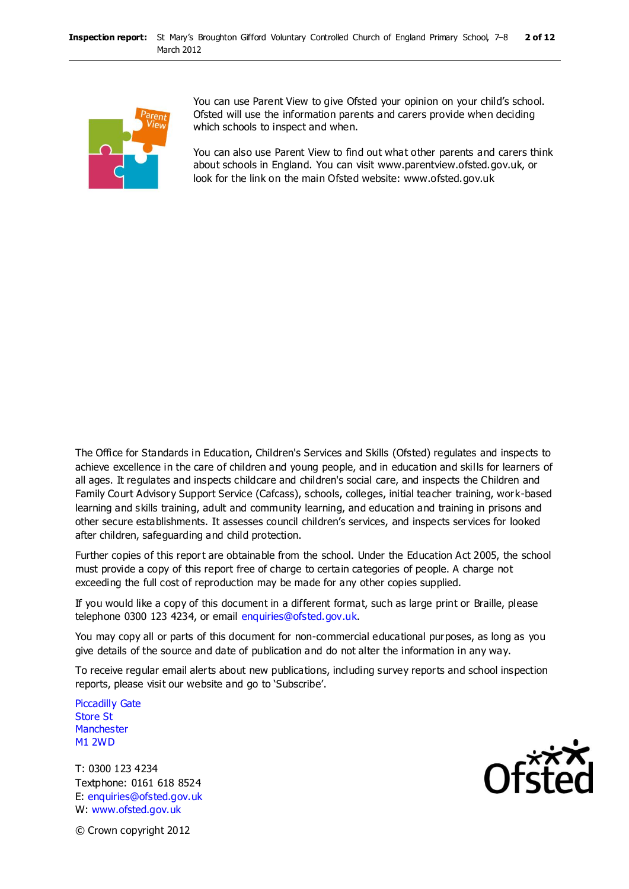

You can use Parent View to give Ofsted your opinion on your child's school. Ofsted will use the information parents and carers provide when deciding which schools to inspect and when.

You can also use Parent View to find out what other parents and carers think about schools in England. You can visit www.parentview.ofsted.gov.uk, or look for the link on the main Ofsted website: www.ofsted.gov.uk

The Office for Standards in Education, Children's Services and Skills (Ofsted) regulates and inspects to achieve excellence in the care of children and young people, and in education and skills for learners of all ages. It regulates and inspects childcare and children's social care, and inspects the Children and Family Court Advisory Support Service (Cafcass), schools, colleges, initial teacher training, work-based learning and skills training, adult and community learning, and education and training in prisons and other secure establishments. It assesses council children's services, and inspects services for looked after children, safeguarding and child protection.

Further copies of this report are obtainable from the school. Under the Education Act 2005, the school must provide a copy of this report free of charge to certain categories of people. A charge not exceeding the full cost of reproduction may be made for any other copies supplied.

If you would like a copy of this document in a different format, such as large print or Braille, please telephone 0300 123 4234, or email enquiries@ofsted.gov.uk.

You may copy all or parts of this document for non-commercial educational purposes, as long as you give details of the source and date of publication and do not alter the information in any way.

To receive regular email alerts about new publications, including survey reports and school inspection reports, please visit our website and go to 'Subscribe'.

Piccadilly Gate Store St **Manchester** M1 2WD

T: 0300 123 4234 Textphone: 0161 618 8524 E: enquiries@ofsted.gov.uk W: www.ofsted.gov.uk



© Crown copyright 2012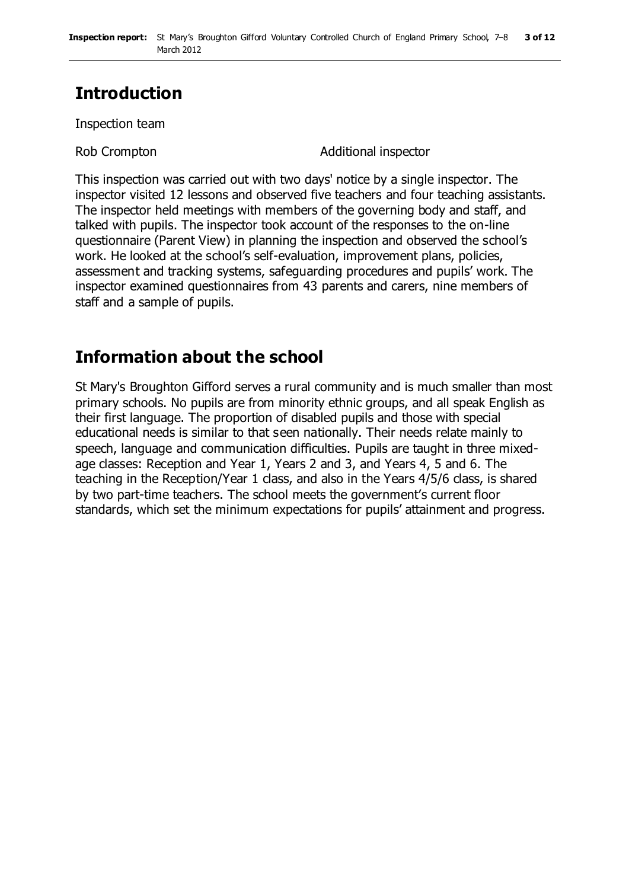# **Introduction**

Inspection team

Rob Crompton **Additional inspector** 

This inspection was carried out with two days' notice by a single inspector. The inspector visited 12 lessons and observed five teachers and four teaching assistants. The inspector held meetings with members of the governing body and staff, and talked with pupils. The inspector took account of the responses to the on-line questionnaire (Parent View) in planning the inspection and observed the school's work. He looked at the school's self-evaluation, improvement plans, policies, assessment and tracking systems, safeguarding procedures and pupils' work. The inspector examined questionnaires from 43 parents and carers, nine members of staff and a sample of pupils.

### **Information about the school**

St Mary's Broughton Gifford serves a rural community and is much smaller than most primary schools. No pupils are from minority ethnic groups, and all speak English as their first language. The proportion of disabled pupils and those with special educational needs is similar to that seen nationally. Their needs relate mainly to speech, language and communication difficulties. Pupils are taught in three mixedage classes: Reception and Year 1, Years 2 and 3, and Years 4, 5 and 6. The teaching in the Reception/Year 1 class, and also in the Years 4/5/6 class, is shared by two part-time teachers. The school meets the government's current floor standards, which set the minimum expectations for pupils' attainment and progress.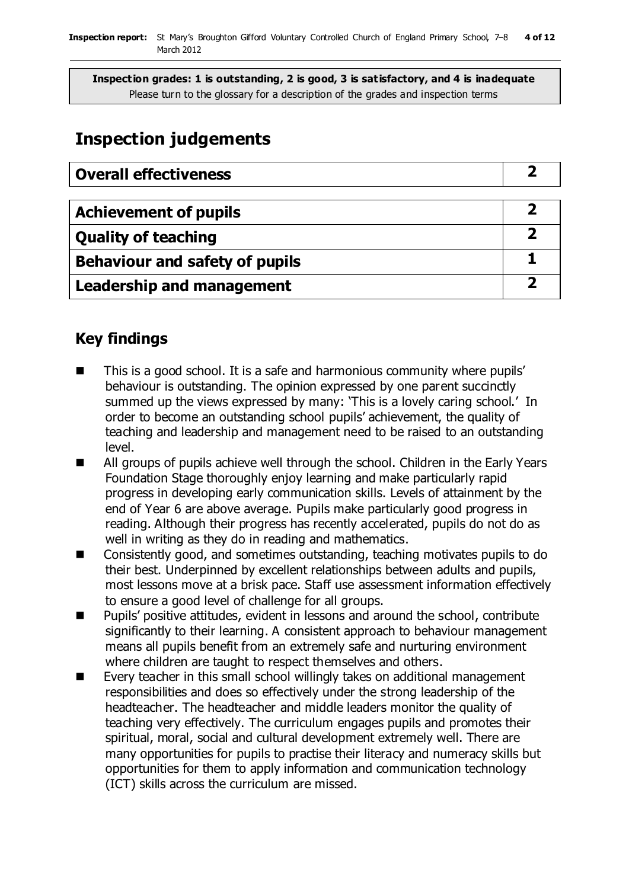# **Inspection judgements**

| <b>Overall effectiveness</b>          |  |
|---------------------------------------|--|
|                                       |  |
| <b>Achievement of pupils</b>          |  |
| <b>Quality of teaching</b>            |  |
| <b>Behaviour and safety of pupils</b> |  |
| <b>Leadership and management</b>      |  |

### **Key findings**

- This is a good school. It is a safe and harmonious community where pupils' behaviour is outstanding. The opinion expressed by one parent succinctly summed up the views expressed by many: 'This is a lovely caring school.' In order to become an outstanding school pupils' achievement, the quality of teaching and leadership and management need to be raised to an outstanding level.
- All groups of pupils achieve well through the school. Children in the Early Years Foundation Stage thoroughly enjoy learning and make particularly rapid progress in developing early communication skills. Levels of attainment by the end of Year 6 are above average. Pupils make particularly good progress in reading. Although their progress has recently accelerated, pupils do not do as well in writing as they do in reading and mathematics.
- Consistently good, and sometimes outstanding, teaching motivates pupils to do their best. Underpinned by excellent relationships between adults and pupils, most lessons move at a brisk pace. Staff use assessment information effectively to ensure a good level of challenge for all groups.
- Pupils' positive attitudes, evident in lessons and around the school, contribute significantly to their learning. A consistent approach to behaviour management means all pupils benefit from an extremely safe and nurturing environment where children are taught to respect themselves and others.
- Every teacher in this small school willingly takes on additional management responsibilities and does so effectively under the strong leadership of the headteacher. The headteacher and middle leaders monitor the quality of teaching very effectively. The curriculum engages pupils and promotes their spiritual, moral, social and cultural development extremely well. There are many opportunities for pupils to practise their literacy and numeracy skills but opportunities for them to apply information and communication technology (ICT) skills across the curriculum are missed.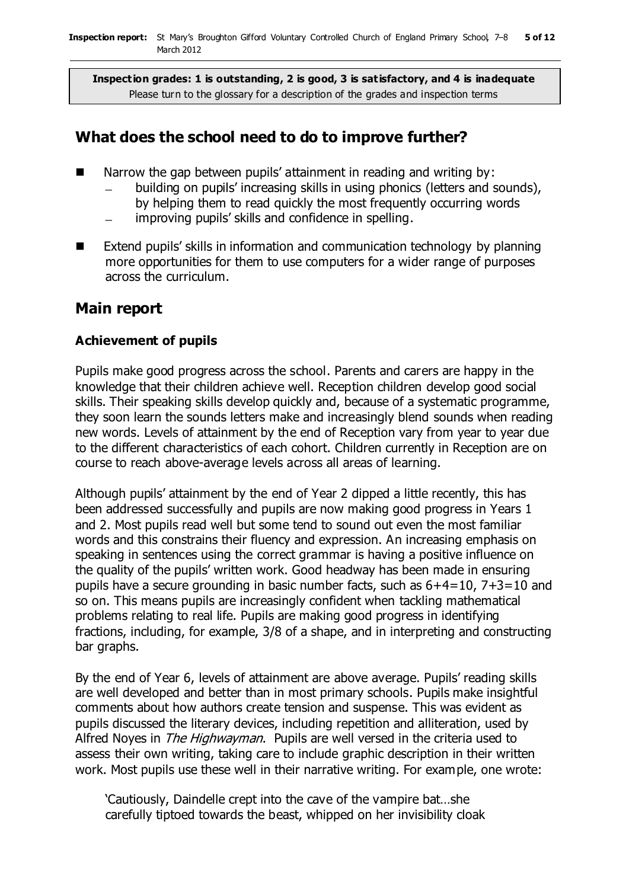### **What does the school need to do to improve further?**

- Narrow the gap between pupils' attainment in reading and writing by:
	- building on pupils' increasing skills in using phonics (letters and sounds), by helping them to read quickly the most frequently occurring words
	- improving pupils' skills and confidence in spelling.
- Extend pupils' skills in information and communication technology by planning more opportunities for them to use computers for a wider range of purposes across the curriculum.

### **Main report**

#### **Achievement of pupils**

Pupils make good progress across the school. Parents and carers are happy in the knowledge that their children achieve well. Reception children develop good social skills. Their speaking skills develop quickly and, because of a systematic programme, they soon learn the sounds letters make and increasingly blend sounds when reading new words. Levels of attainment by the end of Reception vary from year to year due to the different characteristics of each cohort. Children currently in Reception are on course to reach above-average levels across all areas of learning.

Although pupils' attainment by the end of Year 2 dipped a little recently, this has been addressed successfully and pupils are now making good progress in Years 1 and 2. Most pupils read well but some tend to sound out even the most familiar words and this constrains their fluency and expression. An increasing emphasis on speaking in sentences using the correct grammar is having a positive influence on the quality of the pupils' written work. Good headway has been made in ensuring pupils have a secure grounding in basic number facts, such as 6+4=10, 7+3=10 and so on. This means pupils are increasingly confident when tackling mathematical problems relating to real life. Pupils are making good progress in identifying fractions, including, for example, 3/8 of a shape, and in interpreting and constructing bar graphs.

By the end of Year 6, levels of attainment are above average. Pupils' reading skills are well developed and better than in most primary schools. Pupils make insightful comments about how authors create tension and suspense. This was evident as pupils discussed the literary devices, including repetition and alliteration, used by Alfred Noyes in The Highwayman. Pupils are well versed in the criteria used to assess their own writing, taking care to include graphic description in their written work. Most pupils use these well in their narrative writing. For example, one wrote:

'Cautiously, Daindelle crept into the cave of the vampire bat…she carefully tiptoed towards the beast, whipped on her invisibility cloak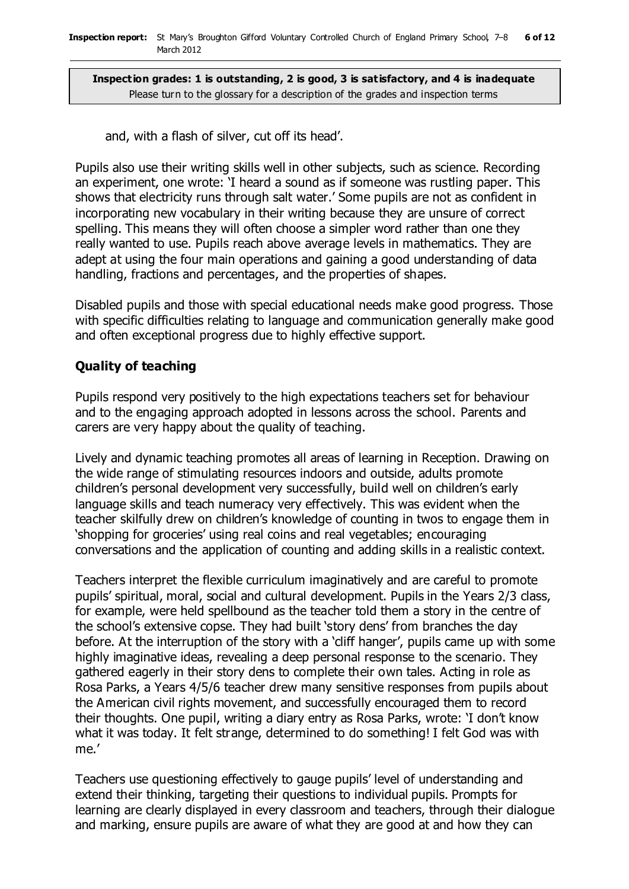and, with a flash of silver, cut off its head'.

Pupils also use their writing skills well in other subjects, such as science. Recording an experiment, one wrote: 'I heard a sound as if someone was rustling paper. This shows that electricity runs through salt water.' Some pupils are not as confident in incorporating new vocabulary in their writing because they are unsure of correct spelling. This means they will often choose a simpler word rather than one they really wanted to use. Pupils reach above average levels in mathematics. They are adept at using the four main operations and gaining a good understanding of data handling, fractions and percentages, and the properties of shapes.

Disabled pupils and those with special educational needs make good progress. Those with specific difficulties relating to language and communication generally make good and often exceptional progress due to highly effective support.

#### **Quality of teaching**

Pupils respond very positively to the high expectations teachers set for behaviour and to the engaging approach adopted in lessons across the school. Parents and carers are very happy about the quality of teaching.

Lively and dynamic teaching promotes all areas of learning in Reception. Drawing on the wide range of stimulating resources indoors and outside, adults promote children's personal development very successfully, build well on children's early language skills and teach numeracy very effectively. This was evident when the teacher skilfully drew on children's knowledge of counting in twos to engage them in 'shopping for groceries' using real coins and real vegetables; encouraging conversations and the application of counting and adding skills in a realistic context.

Teachers interpret the flexible curriculum imaginatively and are careful to promote pupils' spiritual, moral, social and cultural development. Pupils in the Years 2/3 class, for example, were held spellbound as the teacher told them a story in the centre of the school's extensive copse. They had built 'story dens' from branches the day before. At the interruption of the story with a 'cliff hanger', pupils came up with some highly imaginative ideas, revealing a deep personal response to the scenario. They gathered eagerly in their story dens to complete their own tales. Acting in role as Rosa Parks, a Years 4/5/6 teacher drew many sensitive responses from pupils about the American civil rights movement, and successfully encouraged them to record their thoughts. One pupil, writing a diary entry as Rosa Parks, wrote: 'I don't know what it was today. It felt strange, determined to do something! I felt God was with me.'

Teachers use questioning effectively to gauge pupils' level of understanding and extend their thinking, targeting their questions to individual pupils. Prompts for learning are clearly displayed in every classroom and teachers, through their dialogue and marking, ensure pupils are aware of what they are good at and how they can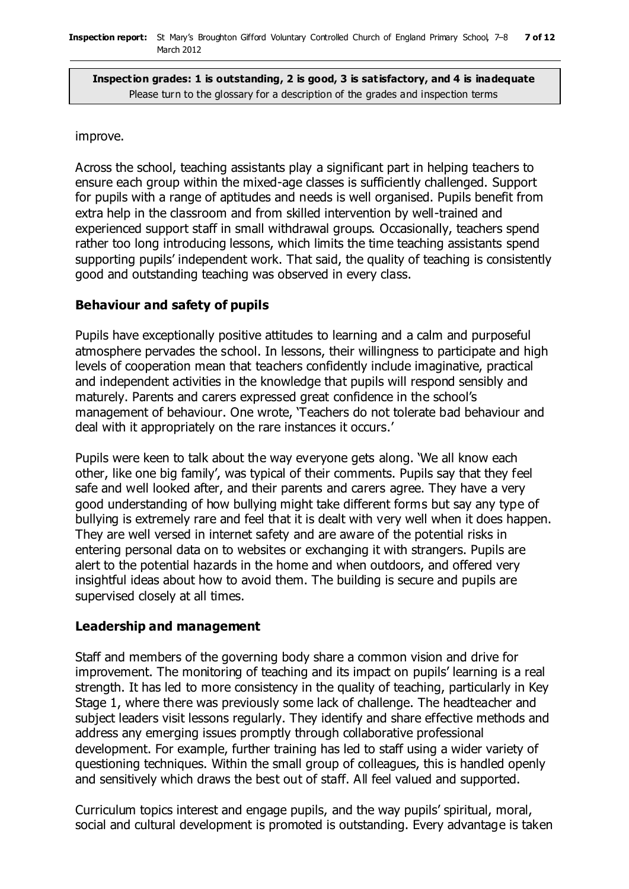#### improve.

Across the school, teaching assistants play a significant part in helping teachers to ensure each group within the mixed-age classes is sufficiently challenged. Support for pupils with a range of aptitudes and needs is well organised. Pupils benefit from extra help in the classroom and from skilled intervention by well-trained and experienced support staff in small withdrawal groups. Occasionally, teachers spend rather too long introducing lessons, which limits the time teaching assistants spend supporting pupils' independent work. That said, the quality of teaching is consistently good and outstanding teaching was observed in every class.

#### **Behaviour and safety of pupils**

Pupils have exceptionally positive attitudes to learning and a calm and purposeful atmosphere pervades the school. In lessons, their willingness to participate and high levels of cooperation mean that teachers confidently include imaginative, practical and independent activities in the knowledge that pupils will respond sensibly and maturely. Parents and carers expressed great confidence in the school's management of behaviour. One wrote, 'Teachers do not tolerate bad behaviour and deal with it appropriately on the rare instances it occurs.'

Pupils were keen to talk about the way everyone gets along. 'We all know each other, like one big family', was typical of their comments. Pupils say that they feel safe and well looked after, and their parents and carers agree. They have a very good understanding of how bullying might take different forms but say any type of bullying is extremely rare and feel that it is dealt with very well when it does happen. They are well versed in internet safety and are aware of the potential risks in entering personal data on to websites or exchanging it with strangers. Pupils are alert to the potential hazards in the home and when outdoors, and offered very insightful ideas about how to avoid them. The building is secure and pupils are supervised closely at all times.

#### **Leadership and management**

Staff and members of the governing body share a common vision and drive for improvement. The monitoring of teaching and its impact on pupils' learning is a real strength. It has led to more consistency in the quality of teaching, particularly in Key Stage 1, where there was previously some lack of challenge. The headteacher and subject leaders visit lessons regularly. They identify and share effective methods and address any emerging issues promptly through collaborative professional development. For example, further training has led to staff using a wider variety of questioning techniques. Within the small group of colleagues, this is handled openly and sensitively which draws the best out of staff. All feel valued and supported.

Curriculum topics interest and engage pupils, and the way pupils' spiritual, moral, social and cultural development is promoted is outstanding. Every advantage is taken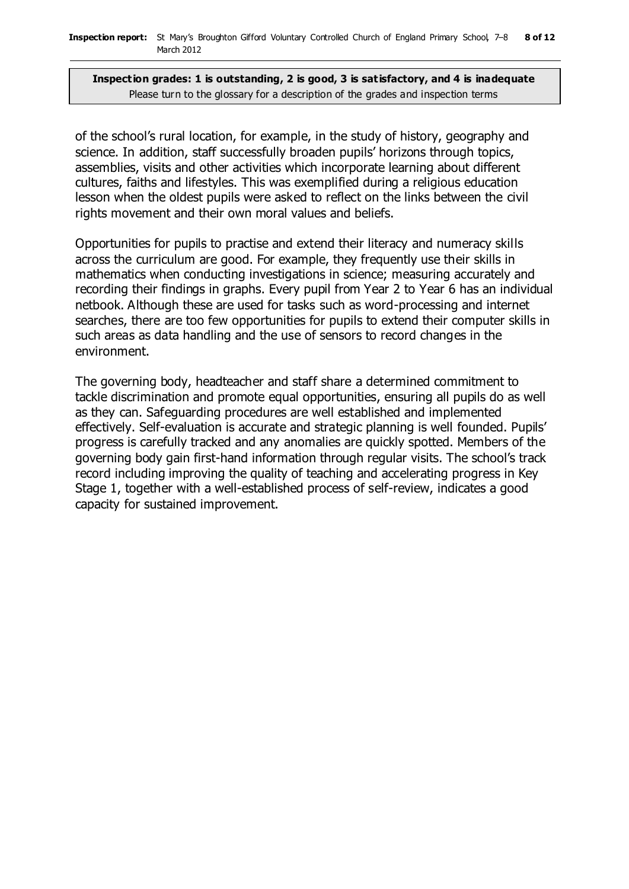of the school's rural location, for example, in the study of history, geography and science. In addition, staff successfully broaden pupils' horizons through topics, assemblies, visits and other activities which incorporate learning about different cultures, faiths and lifestyles. This was exemplified during a religious education lesson when the oldest pupils were asked to reflect on the links between the civil rights movement and their own moral values and beliefs.

Opportunities for pupils to practise and extend their literacy and numeracy skills across the curriculum are good. For example, they frequently use their skills in mathematics when conducting investigations in science; measuring accurately and recording their findings in graphs. Every pupil from Year 2 to Year 6 has an individual netbook. Although these are used for tasks such as word-processing and internet searches, there are too few opportunities for pupils to extend their computer skills in such areas as data handling and the use of sensors to record changes in the environment.

The governing body, headteacher and staff share a determined commitment to tackle discrimination and promote equal opportunities, ensuring all pupils do as well as they can. Safeguarding procedures are well established and implemented effectively. Self-evaluation is accurate and strategic planning is well founded. Pupils' progress is carefully tracked and any anomalies are quickly spotted. Members of the governing body gain first-hand information through regular visits. The school's track record including improving the quality of teaching and accelerating progress in Key Stage 1, together with a well-established process of self-review, indicates a good capacity for sustained improvement.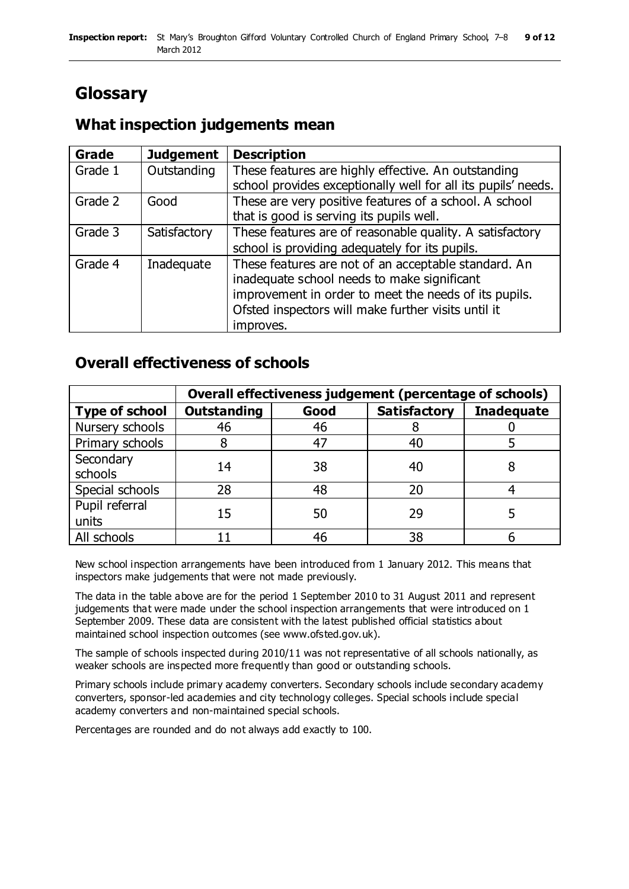# **Glossary**

### **What inspection judgements mean**

| <b>Grade</b> | <b>Judgement</b> | <b>Description</b>                                            |
|--------------|------------------|---------------------------------------------------------------|
| Grade 1      | Outstanding      | These features are highly effective. An outstanding           |
|              |                  | school provides exceptionally well for all its pupils' needs. |
| Grade 2      | Good             | These are very positive features of a school. A school        |
|              |                  | that is good is serving its pupils well.                      |
| Grade 3      | Satisfactory     | These features are of reasonable quality. A satisfactory      |
|              |                  | school is providing adequately for its pupils.                |
| Grade 4      | Inadequate       | These features are not of an acceptable standard. An          |
|              |                  | inadequate school needs to make significant                   |
|              |                  | improvement in order to meet the needs of its pupils.         |
|              |                  | Ofsted inspectors will make further visits until it           |
|              |                  | improves.                                                     |

### **Overall effectiveness of schools**

|                         | Overall effectiveness judgement (percentage of schools) |      |                     |                   |
|-------------------------|---------------------------------------------------------|------|---------------------|-------------------|
| <b>Type of school</b>   | <b>Outstanding</b>                                      | Good | <b>Satisfactory</b> | <b>Inadequate</b> |
| Nursery schools         | 46                                                      | 46   |                     |                   |
| Primary schools         |                                                         | 47   | 40                  |                   |
| Secondary<br>schools    | 14                                                      | 38   | 40                  |                   |
| Special schools         | 28                                                      | 48   | 20                  |                   |
| Pupil referral<br>units | 15                                                      | 50   | 29                  |                   |
| All schools             |                                                         | 46   | 38                  |                   |

New school inspection arrangements have been introduced from 1 January 2012. This means that inspectors make judgements that were not made previously.

The data in the table above are for the period 1 September 2010 to 31 August 2011 and represent judgements that were made under the school inspection arrangements that were introduced on 1 September 2009. These data are consistent with the latest published official statistics about maintained school inspection outcomes (see www.ofsted.gov.uk).

The sample of schools inspected during 2010/11 was not representative of all schools nationally, as weaker schools are inspected more frequently than good or outstanding schools.

Primary schools include primary academy converters. Secondary schools include secondary academy converters, sponsor-led academies and city technology colleges. Special schools include special academy converters and non-maintained special schools.

Percentages are rounded and do not always add exactly to 100.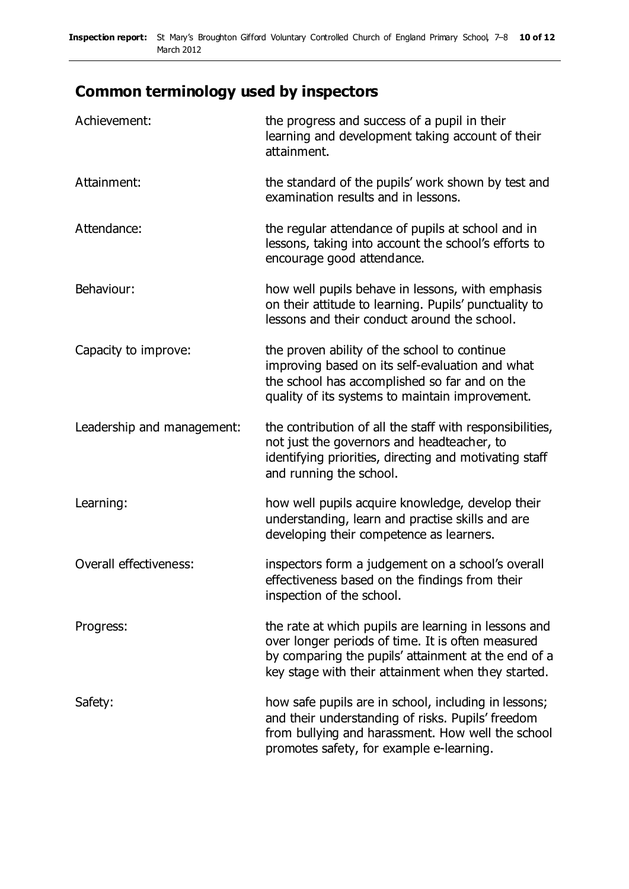# **Common terminology used by inspectors**

| Achievement:               | the progress and success of a pupil in their<br>learning and development taking account of their<br>attainment.                                                                                                        |
|----------------------------|------------------------------------------------------------------------------------------------------------------------------------------------------------------------------------------------------------------------|
| Attainment:                | the standard of the pupils' work shown by test and<br>examination results and in lessons.                                                                                                                              |
| Attendance:                | the regular attendance of pupils at school and in<br>lessons, taking into account the school's efforts to<br>encourage good attendance.                                                                                |
| Behaviour:                 | how well pupils behave in lessons, with emphasis<br>on their attitude to learning. Pupils' punctuality to<br>lessons and their conduct around the school.                                                              |
| Capacity to improve:       | the proven ability of the school to continue<br>improving based on its self-evaluation and what<br>the school has accomplished so far and on the<br>quality of its systems to maintain improvement.                    |
| Leadership and management: | the contribution of all the staff with responsibilities,<br>not just the governors and headteacher, to<br>identifying priorities, directing and motivating staff<br>and running the school.                            |
| Learning:                  | how well pupils acquire knowledge, develop their<br>understanding, learn and practise skills and are<br>developing their competence as learners.                                                                       |
| Overall effectiveness:     | inspectors form a judgement on a school's overall<br>effectiveness based on the findings from their<br>inspection of the school.                                                                                       |
| Progress:                  | the rate at which pupils are learning in lessons and<br>over longer periods of time. It is often measured<br>by comparing the pupils' attainment at the end of a<br>key stage with their attainment when they started. |
| Safety:                    | how safe pupils are in school, including in lessons;<br>and their understanding of risks. Pupils' freedom<br>from bullying and harassment. How well the school<br>promotes safety, for example e-learning.             |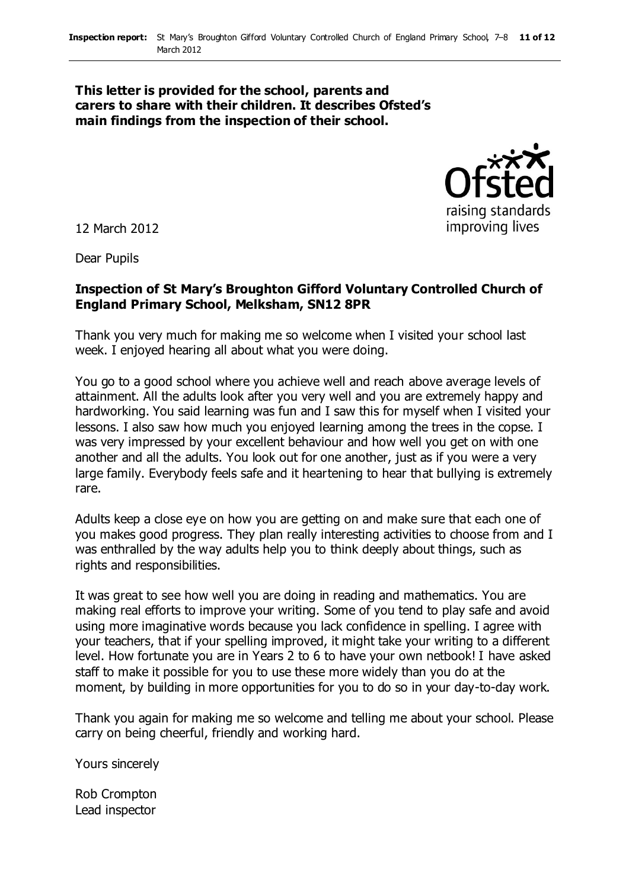#### **This letter is provided for the school, parents and carers to share with their children. It describes Ofsted's main findings from the inspection of their school.**



12 March 2012

Dear Pupils

#### **Inspection of St Mary's Broughton Gifford Voluntary Controlled Church of England Primary School, Melksham, SN12 8PR**

Thank you very much for making me so welcome when I visited your school last week. I enjoyed hearing all about what you were doing.

You go to a good school where you achieve well and reach above average levels of attainment. All the adults look after you very well and you are extremely happy and hardworking. You said learning was fun and I saw this for myself when I visited your lessons. I also saw how much you enjoyed learning among the trees in the copse. I was very impressed by your excellent behaviour and how well you get on with one another and all the adults. You look out for one another, just as if you were a very large family. Everybody feels safe and it heartening to hear that bullying is extremely rare.

Adults keep a close eye on how you are getting on and make sure that each one of you makes good progress. They plan really interesting activities to choose from and I was enthralled by the way adults help you to think deeply about things, such as rights and responsibilities.

It was great to see how well you are doing in reading and mathematics. You are making real efforts to improve your writing. Some of you tend to play safe and avoid using more imaginative words because you lack confidence in spelling. I agree with your teachers, that if your spelling improved, it might take your writing to a different level. How fortunate you are in Years 2 to 6 to have your own netbook! I have asked staff to make it possible for you to use these more widely than you do at the moment, by building in more opportunities for you to do so in your day-to-day work.

Thank you again for making me so welcome and telling me about your school. Please carry on being cheerful, friendly and working hard.

Yours sincerely

Rob Crompton Lead inspector